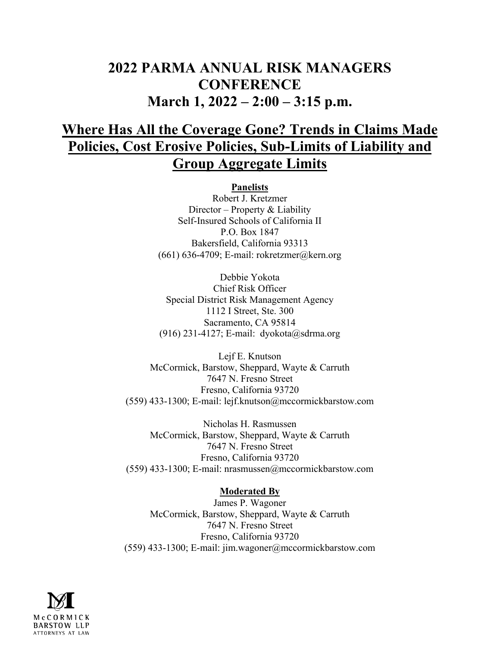# **2022 PARMA ANNUAL RISK MANAGERS CONFERENCE March 1, 2022 – 2:00 – 3:15 p.m.**

# **Where Has All the Coverage Gone? Trends in Claims Made Policies, Cost Erosive Policies, Sub-Limits of Liability and Group Aggregate Limits**

**Panelists** Robert J. Kretzmer Director – Property & Liability Self-Insured Schools of California II P.O. Box 1847 Bakersfield, California 93313  $(661)$  636-4709; E-mail: rokretzmer@kern.org

Debbie Yokota Chief Risk Officer Special District Risk Management Agency 1112 I Street, Ste. 300 Sacramento, CA 95814 (916) 231-4127; E-mail: dyokota@sdrma.org

Lejf E. Knutson McCormick, Barstow, Sheppard, Wayte & Carruth 7647 N. Fresno Street Fresno, California 93720 (559) 433-1300; E-mail: lejf.knutson@mccormickbarstow.com

Nicholas H. Rasmussen McCormick, Barstow, Sheppard, Wayte & Carruth 7647 N. Fresno Street Fresno, California 93720 (559) 433-1300; E-mail: nrasmussen@mccormickbarstow.com

## **Moderated By**

James P. Wagoner McCormick, Barstow, Sheppard, Wayte & Carruth 7647 N. Fresno Street Fresno, California 93720 (559) 433-1300; E-mail: jim.wagoner@mccormickbarstow.com

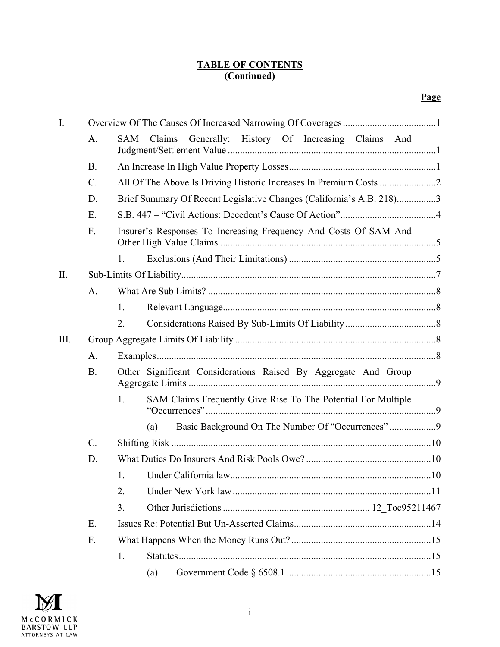### **TABLE OF CONTENTS (Continued)**

| I.   |                                                                              |                                                                     |  |  |  |  |  |  |  |  |
|------|------------------------------------------------------------------------------|---------------------------------------------------------------------|--|--|--|--|--|--|--|--|
|      | A.                                                                           | Generally: History Of Increasing Claims And<br>Claims<br><b>SAM</b> |  |  |  |  |  |  |  |  |
|      | <b>B.</b>                                                                    |                                                                     |  |  |  |  |  |  |  |  |
|      | $C_{\cdot}$                                                                  |                                                                     |  |  |  |  |  |  |  |  |
|      | Brief Summary Of Recent Legislative Changes (California's A.B. 218)3<br>D.   |                                                                     |  |  |  |  |  |  |  |  |
|      | E.<br>F.<br>Insurer's Responses To Increasing Frequency And Costs Of SAM And |                                                                     |  |  |  |  |  |  |  |  |
|      |                                                                              |                                                                     |  |  |  |  |  |  |  |  |
|      |                                                                              | 1.                                                                  |  |  |  |  |  |  |  |  |
| II.  |                                                                              |                                                                     |  |  |  |  |  |  |  |  |
|      | A.                                                                           |                                                                     |  |  |  |  |  |  |  |  |
|      |                                                                              | 1.                                                                  |  |  |  |  |  |  |  |  |
|      |                                                                              | 2.                                                                  |  |  |  |  |  |  |  |  |
| III. |                                                                              |                                                                     |  |  |  |  |  |  |  |  |
|      |                                                                              |                                                                     |  |  |  |  |  |  |  |  |
|      | A.                                                                           |                                                                     |  |  |  |  |  |  |  |  |
|      | <b>B.</b>                                                                    | Other Significant Considerations Raised By Aggregate And Group      |  |  |  |  |  |  |  |  |
|      |                                                                              | SAM Claims Frequently Give Rise To The Potential For Multiple<br>1. |  |  |  |  |  |  |  |  |
|      |                                                                              | (a)                                                                 |  |  |  |  |  |  |  |  |
|      | $C$ .                                                                        |                                                                     |  |  |  |  |  |  |  |  |
|      | D.                                                                           |                                                                     |  |  |  |  |  |  |  |  |
|      |                                                                              | 1.                                                                  |  |  |  |  |  |  |  |  |
|      |                                                                              | 2.                                                                  |  |  |  |  |  |  |  |  |
|      |                                                                              | 3.                                                                  |  |  |  |  |  |  |  |  |
|      | Ε.                                                                           |                                                                     |  |  |  |  |  |  |  |  |
|      | F.                                                                           |                                                                     |  |  |  |  |  |  |  |  |
|      |                                                                              | 1.                                                                  |  |  |  |  |  |  |  |  |

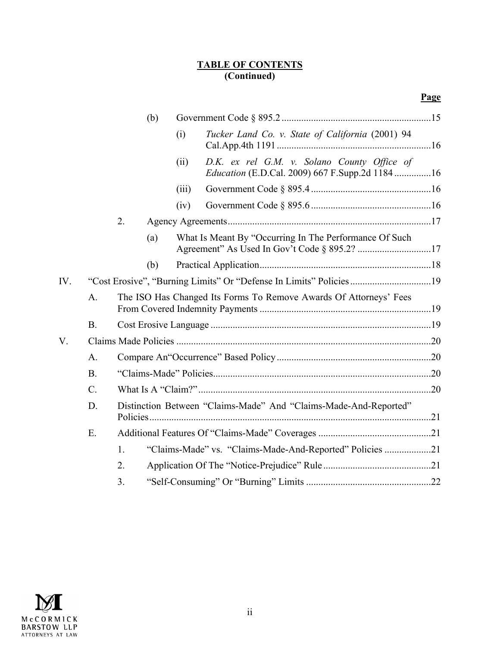#### **TABLE OF CONTENTS (Continued)**

|     |                                                                    |                                                                   | (b) |       |                                                                                                      |  |  |
|-----|--------------------------------------------------------------------|-------------------------------------------------------------------|-----|-------|------------------------------------------------------------------------------------------------------|--|--|
|     |                                                                    |                                                                   |     | (i)   | Tucker Land Co. v. State of California (2001) 94                                                     |  |  |
|     |                                                                    |                                                                   |     | (ii)  | D.K. ex rel G.M. v. Solano County Office of<br><i>Education</i> (E.D.Cal. 2009) 667 F.Supp.2d 118416 |  |  |
|     |                                                                    |                                                                   |     | (iii) |                                                                                                      |  |  |
|     |                                                                    |                                                                   |     | (iv)  |                                                                                                      |  |  |
|     |                                                                    | 2.                                                                |     |       |                                                                                                      |  |  |
|     |                                                                    |                                                                   | (a) |       | What Is Meant By "Occurring In The Performance Of Such                                               |  |  |
|     |                                                                    |                                                                   | (b) |       |                                                                                                      |  |  |
| IV. | "Cost Erosive", "Burning Limits" Or "Defense In Limits" Policies19 |                                                                   |     |       |                                                                                                      |  |  |
|     | A.                                                                 | The ISO Has Changed Its Forms To Remove Awards Of Attorneys' Fees |     |       |                                                                                                      |  |  |
|     | <b>B.</b>                                                          |                                                                   |     |       |                                                                                                      |  |  |
| V.  |                                                                    |                                                                   |     |       |                                                                                                      |  |  |
|     | A.                                                                 |                                                                   |     |       |                                                                                                      |  |  |
|     | <b>B.</b>                                                          |                                                                   |     |       |                                                                                                      |  |  |
|     | $C$ .                                                              |                                                                   |     |       |                                                                                                      |  |  |
|     | D.                                                                 | Distinction Between "Claims-Made" And "Claims-Made-And-Reported"  |     |       |                                                                                                      |  |  |
|     | E.                                                                 |                                                                   |     |       |                                                                                                      |  |  |
|     |                                                                    | "Claims-Made" vs. "Claims-Made-And-Reported" Policies 21          |     |       |                                                                                                      |  |  |
|     |                                                                    | 2.                                                                |     |       |                                                                                                      |  |  |
|     |                                                                    | 3.                                                                |     |       |                                                                                                      |  |  |

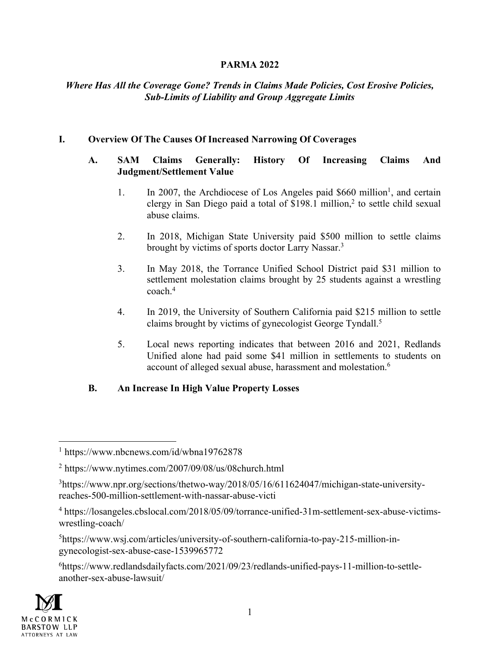## **PARMA 2022**

## *Where Has All the Coverage Gone? Trends in Claims Made Policies, Cost Erosive Policies, Sub-Limits of Liability and Group Aggregate Limits*

## **I. Overview Of The Causes Of Increased Narrowing Of Coverages**

### **A. SAM Claims Generally: History Of Increasing Claims And Judgment/Settlement Value**

- 1. In 2007, the Archdiocese of Los Angeles paid  $$660$  million<sup>1</sup>, and certain clergy in San Diego paid a total of  $$198.1$  million,<sup>2</sup> to settle child sexual abuse claims.
- 2. In 2018, Michigan State University paid \$500 million to settle claims brought by victims of sports doctor Larry Nassar.3
- 3. In May 2018, the Torrance Unified School District paid \$31 million to settlement molestation claims brought by 25 students against a wrestling coach. 4
- 4. In 2019, the University of Southern California paid \$215 million to settle claims brought by victims of gynecologist George Tyndall.5
- 5. Local news reporting indicates that between 2016 and 2021, Redlands Unified alone had paid some \$41 million in settlements to students on account of alleged sexual abuse, harassment and molestation.6

# **B. An Increase In High Value Property Losses**

5https://www.wsj.com/articles/university-of-southern-california-to-pay-215-million-ingynecologist-sex-abuse-case-1539965772

6https://www.redlandsdailyfacts.com/2021/09/23/redlands-unified-pays-11-million-to-settleanother-sex-abuse-lawsuit/



<sup>1</sup> https://www.nbcnews.com/id/wbna19762878

<sup>2</sup> https://www.nytimes.com/2007/09/08/us/08church.html

<sup>3</sup>https://www.npr.org/sections/thetwo-way/2018/05/16/611624047/michigan-state-universityreaches-500-million-settlement-with-nassar-abuse-victi

<sup>4</sup> https://losangeles.cbslocal.com/2018/05/09/torrance-unified-31m-settlement-sex-abuse-victimswrestling-coach/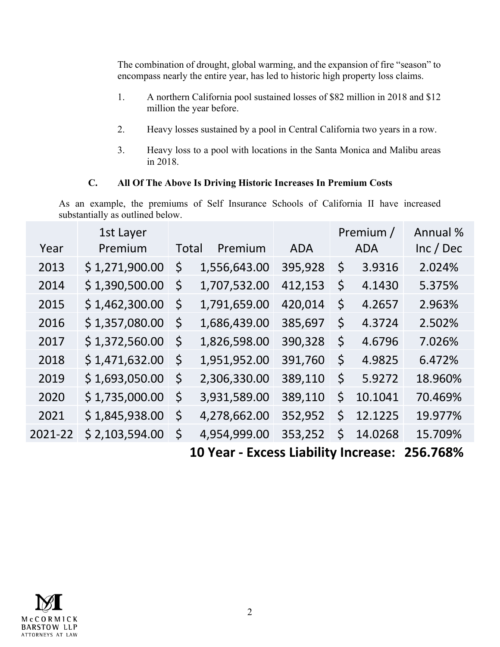The combination of drought, global warming, and the expansion of fire "season" to encompass nearly the entire year, has led to historic high property loss claims.

- 1. A northern California pool sustained losses of \$82 million in 2018 and \$12 million the year before.
- 2. Heavy losses sustained by a pool in Central California two years in a row.
- 3. Heavy loss to a pool with locations in the Santa Monica and Malibu areas in 2018.

# **C. All Of The Above Is Driving Historic Increases In Premium Costs**

As an example, the premiums of Self Insurance Schools of California II have increased substantially as outlined below.

|         | 1st Layer      |       |              |            | Premium /                            | Annual %  |
|---------|----------------|-------|--------------|------------|--------------------------------------|-----------|
| Year    | Premium        | Total | Premium      | <b>ADA</b> | <b>ADA</b>                           | Inc / Dec |
| 2013    | \$1,271,900.00 | \$    | 1,556,643.00 | 395,928    | \$<br>3.9316                         | 2.024%    |
| 2014    | \$1,390,500.00 | \$    | 1,707,532.00 | 412,153    | \$<br>4.1430                         | 5.375%    |
| 2015    | \$1,462,300.00 | \$    | 1,791,659.00 | 420,014    | \$<br>4.2657                         | 2.963%    |
| 2016    | \$1,357,080.00 | \$    | 1,686,439.00 | 385,697    | \$<br>4.3724                         | 2.502%    |
| 2017    | \$1,372,560.00 | \$    | 1,826,598.00 | 390,328    | \$<br>4.6796                         | 7.026%    |
| 2018    | \$1,471,632.00 | \$    | 1,951,952.00 | 391,760    | \$<br>4.9825                         | 6.472%    |
| 2019    | \$1,693,050.00 | \$    | 2,306,330.00 | 389,110    | \$<br>5.9272                         | 18.960%   |
| 2020    | \$1,735,000.00 | \$    | 3,931,589.00 | 389,110    | \$<br>10.1041                        | 70.469%   |
| 2021    | \$1,845,938.00 | \$    | 4,278,662.00 | 352,952    | \$<br>12.1225                        | 19.977%   |
| 2021-22 | \$2,103,594.00 | \$    | 4,954,999.00 | 353,252    | \$<br>14.0268                        | 15.709%   |
|         |                |       |              |            | 1 Maii 10 Milion 1990 a chan an an A |           |

 **10 Year - Excess Liability Increase: 256.768%**

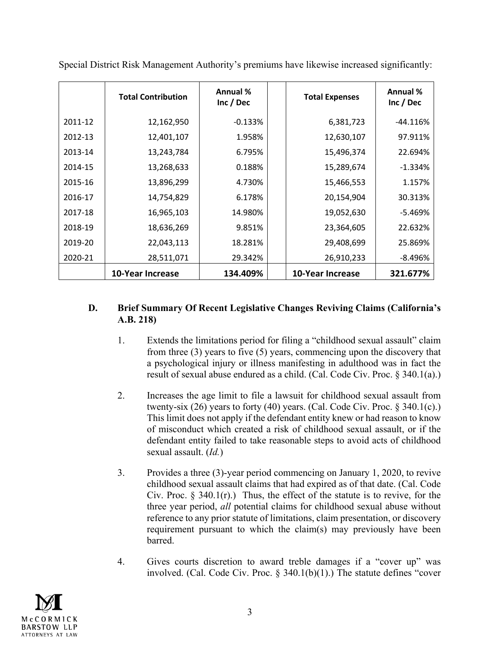|         | <b>Total Contribution</b> | <b>Annual %</b><br>Inc / Dec | <b>Total Expenses</b>   | Annual %<br>Inc / Dec |
|---------|---------------------------|------------------------------|-------------------------|-----------------------|
| 2011-12 | 12,162,950                | $-0.133%$                    | 6,381,723               | $-44.116%$            |
| 2012-13 | 12,401,107                | 1.958%                       | 12,630,107              | 97.911%               |
| 2013-14 | 13,243,784                | 6.795%                       | 15,496,374              | 22.694%               |
| 2014-15 | 13,268,633                | 0.188%                       | 15,289,674              | $-1.334%$             |
| 2015-16 | 13,896,299                | 4.730%                       | 15,466,553              | 1.157%                |
| 2016-17 | 14,754,829                | 6.178%                       | 20,154,904              | 30.313%               |
| 2017-18 | 16,965,103                | 14.980%                      | 19,052,630              | $-5.469%$             |
| 2018-19 | 18,636,269                | 9.851%                       | 23,364,605              | 22.632%               |
| 2019-20 | 22,043,113                | 18.281%                      | 29,408,699              | 25.869%               |
| 2020-21 | 28,511,071                | 29.342%                      | 26,910,233              | -8.496%               |
|         | <b>10-Year Increase</b>   | 134.409%                     | <b>10-Year Increase</b> | 321.677%              |

Special District Risk Management Authority's premiums have likewise increased significantly:

# **D. Brief Summary Of Recent Legislative Changes Reviving Claims (California's A.B. 218)**

- 1. Extends the limitations period for filing a "childhood sexual assault" claim from three (3) years to five (5) years, commencing upon the discovery that a psychological injury or illness manifesting in adulthood was in fact the result of sexual abuse endured as a child. (Cal. Code Civ. Proc. § 340.1(a).)
- 2. Increases the age limit to file a lawsuit for childhood sexual assault from twenty-six  $(26)$  years to forty  $(40)$  years. (Cal. Code Civ. Proc. § 340.1(c).) This limit does not apply if the defendant entity knew or had reason to know of misconduct which created a risk of childhood sexual assault, or if the defendant entity failed to take reasonable steps to avoid acts of childhood sexual assault. (*Id.*)
- 3. Provides a three (3)-year period commencing on January 1, 2020, to revive childhood sexual assault claims that had expired as of that date. (Cal. Code Civ. Proc.  $\S$  340.1(r).) Thus, the effect of the statute is to revive, for the three year period, *all* potential claims for childhood sexual abuse without reference to any prior statute of limitations, claim presentation, or discovery requirement pursuant to which the claim(s) may previously have been barred.
- 4. Gives courts discretion to award treble damages if a "cover up" was involved. (Cal. Code Civ. Proc. § 340.1(b)(1).) The statute defines "cover

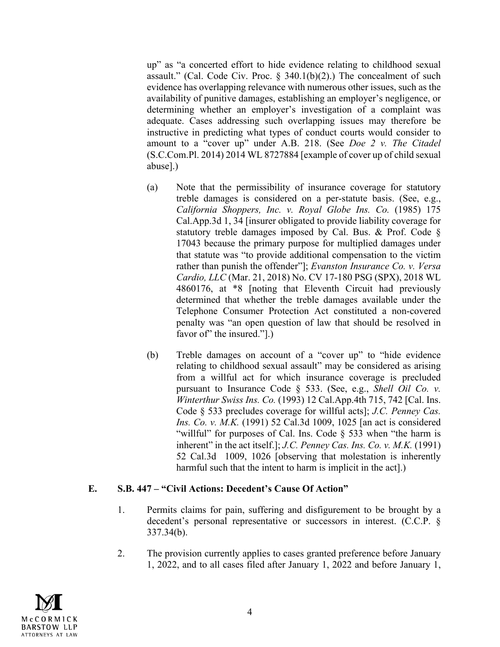up" as "a concerted effort to hide evidence relating to childhood sexual assault." (Cal. Code Civ. Proc.  $\S$  340.1(b)(2).) The concealment of such evidence has overlapping relevance with numerous other issues, such as the availability of punitive damages, establishing an employer's negligence, or determining whether an employer's investigation of a complaint was adequate. Cases addressing such overlapping issues may therefore be instructive in predicting what types of conduct courts would consider to amount to a "cover up" under A.B. 218. (See *Doe 2 v. The Citadel* (S.C.Com.Pl. 2014) 2014 WL 8727884 [example of cover up of child sexual abuse].)

- (a) Note that the permissibility of insurance coverage for statutory treble damages is considered on a per-statute basis. (See, e.g., *California Shoppers, Inc. v. Royal Globe Ins. Co.* (1985) 175 Cal.App.3d 1, 34 [insurer obligated to provide liability coverage for statutory treble damages imposed by Cal. Bus. & Prof. Code § 17043 because the primary purpose for multiplied damages under that statute was "to provide additional compensation to the victim rather than punish the offender"]; *Evanston Insurance Co. v. Versa Cardio, LLC* (Mar. 21, 2018) No. CV 17-180 PSG (SPX), 2018 WL 4860176, at \*8 [noting that Eleventh Circuit had previously determined that whether the treble damages available under the Telephone Consumer Protection Act constituted a non-covered penalty was "an open question of law that should be resolved in favor of the insured.".)
- (b) Treble damages on account of a "cover up" to "hide evidence relating to childhood sexual assault" may be considered as arising from a willful act for which insurance coverage is precluded pursuant to Insurance Code § 533. (See, e.g., *Shell Oil Co. v. Winterthur Swiss Ins. Co.* (1993) 12 Cal.App.4th 715, 742 [Cal. Ins. Code § 533 precludes coverage for willful acts]; *J.C. Penney Cas. Ins. Co. v. M.K.* (1991) 52 Cal.3d 1009, 1025 [an act is considered "willful" for purposes of Cal. Ins. Code § 533 when "the harm is inherent" in the act itself.]; *J.C. Penney Cas. Ins. Co. v. M.K.* (1991) 52 Cal.3d 1009, 1026 [observing that molestation is inherently harmful such that the intent to harm is implicit in the act].)

## **E. S.B. 447 – "Civil Actions: Decedent's Cause Of Action"**

- 1. Permits claims for pain, suffering and disfigurement to be brought by a decedent's personal representative or successors in interest. (C.C.P. § 337.34(b).
- 2. The provision currently applies to cases granted preference before January 1, 2022, and to all cases filed after January 1, 2022 and before January 1,

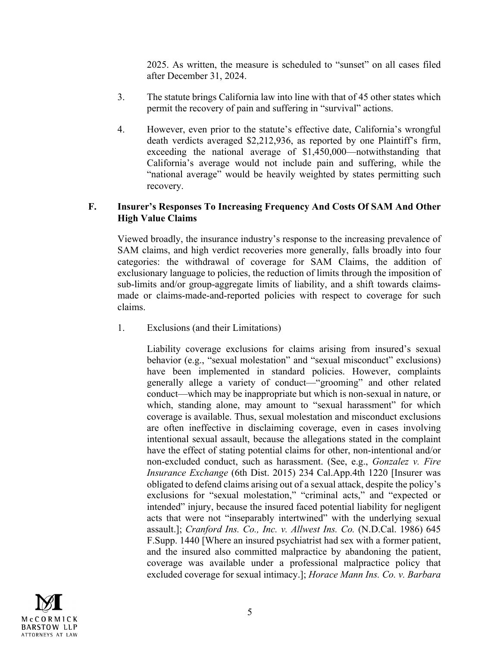2025. As written, the measure is scheduled to "sunset" on all cases filed after December 31, 2024.

- 3. The statute brings California law into line with that of 45 other states which permit the recovery of pain and suffering in "survival" actions.
- 4. However, even prior to the statute's effective date, California's wrongful death verdicts averaged \$2,212,936, as reported by one Plaintiff's firm, exceeding the national average of \$1,450,000—notwithstanding that California's average would not include pain and suffering, while the "national average" would be heavily weighted by states permitting such recovery.

#### **F. Insurer's Responses To Increasing Frequency And Costs Of SAM And Other High Value Claims**

Viewed broadly, the insurance industry's response to the increasing prevalence of SAM claims, and high verdict recoveries more generally, falls broadly into four categories: the withdrawal of coverage for SAM Claims, the addition of exclusionary language to policies, the reduction of limits through the imposition of sub-limits and/or group-aggregate limits of liability, and a shift towards claimsmade or claims-made-and-reported policies with respect to coverage for such claims.

1. Exclusions (and their Limitations)

Liability coverage exclusions for claims arising from insured's sexual behavior (e.g., "sexual molestation" and "sexual misconduct" exclusions) have been implemented in standard policies. However, complaints generally allege a variety of conduct—"grooming" and other related conduct—which may be inappropriate but which is non-sexual in nature, or which, standing alone, may amount to "sexual harassment" for which coverage is available. Thus, sexual molestation and misconduct exclusions are often ineffective in disclaiming coverage, even in cases involving intentional sexual assault, because the allegations stated in the complaint have the effect of stating potential claims for other, non-intentional and/or non-excluded conduct, such as harassment. (See, e.g., *Gonzalez v. Fire Insurance Exchange* (6th Dist. 2015) 234 Cal.App.4th 1220 [Insurer was obligated to defend claims arising out of a sexual attack, despite the policy's exclusions for "sexual molestation," "criminal acts," and "expected or intended" injury, because the insured faced potential liability for negligent acts that were not "inseparably intertwined" with the underlying sexual assault.]; *Cranford Ins. Co., Inc. v. Allwest Ins. Co.* (N.D.Cal. 1986) 645 F.Supp. 1440 [Where an insured psychiatrist had sex with a former patient, and the insured also committed malpractice by abandoning the patient, coverage was available under a professional malpractice policy that excluded coverage for sexual intimacy.]; *Horace Mann Ins. Co. v. Barbara* 

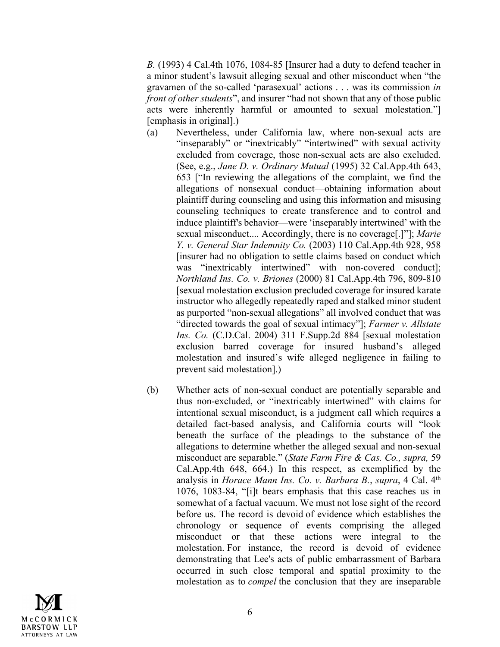*B.* (1993) 4 Cal.4th 1076, 1084-85 [Insurer had a duty to defend teacher in a minor student's lawsuit alleging sexual and other misconduct when "the gravamen of the so-called 'parasexual' actions . . . was its commission *in front of other students*", and insurer "had not shown that any of those public acts were inherently harmful or amounted to sexual molestation."] [emphasis in original].)

- (a) Nevertheless, under California law, where non-sexual acts are "inseparably" or "inextricably" "intertwined" with sexual activity excluded from coverage, those non-sexual acts are also excluded. (See, e.g., *Jane D. v. Ordinary Mutual* (1995) 32 Cal.App.4th 643, 653 ["In reviewing the allegations of the complaint, we find the allegations of nonsexual conduct—obtaining information about plaintiff during counseling and using this information and misusing counseling techniques to create transference and to control and induce plaintiff's behavior—were 'inseparably intertwined' with the sexual misconduct.... Accordingly, there is no coverage[.]"]; *Marie Y. v. General Star Indemnity Co.* (2003) 110 Cal.App.4th 928, 958 [insurer had no obligation to settle claims based on conduct which was "inextricably intertwined" with non-covered conduct]; *Northland Ins. Co. v. Briones* (2000) 81 Cal.App.4th 796, 809-810 [sexual molestation exclusion precluded coverage for insured karate instructor who allegedly repeatedly raped and stalked minor student as purported "non-sexual allegations" all involved conduct that was "directed towards the goal of sexual intimacy"]; *Farmer v. Allstate Ins. Co.* (C.D.Cal. 2004) 311 F.Supp.2d 884 [sexual molestation exclusion barred coverage for insured husband's alleged molestation and insured's wife alleged negligence in failing to prevent said molestation].)
- (b) Whether acts of non-sexual conduct are potentially separable and thus non-excluded, or "inextricably intertwined" with claims for intentional sexual misconduct, is a judgment call which requires a detailed fact-based analysis, and California courts will "look beneath the surface of the pleadings to the substance of the allegations to determine whether the alleged sexual and non-sexual misconduct are separable." (*State Farm Fire & Cas. Co., supra,* 59 Cal.App.4th 648, 664.) In this respect, as exemplified by the analysis in *Horace Mann Ins. Co. v. Barbara B.*, *supra*, 4 Cal. 4th 1076, 1083-84, "[i]t bears emphasis that this case reaches us in somewhat of a factual vacuum. We must not lose sight of the record before us. The record is devoid of evidence which establishes the chronology or sequence of events comprising the alleged misconduct or that these actions were integral to the molestation. For instance, the record is devoid of evidence demonstrating that Lee's acts of public embarrassment of Barbara occurred in such close temporal and spatial proximity to the molestation as to *compel* the conclusion that they are inseparable

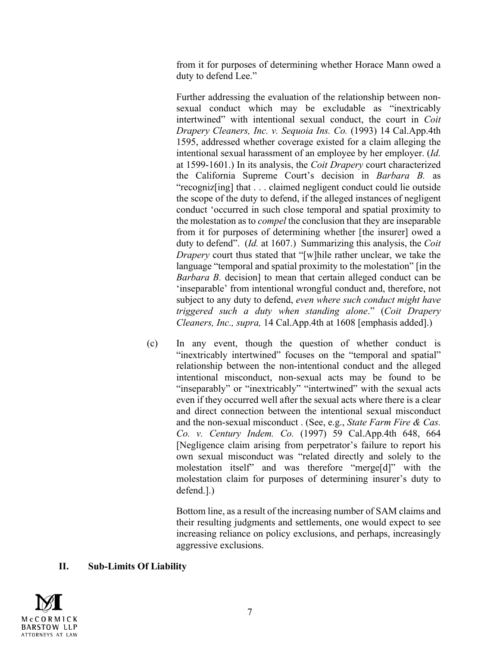from it for purposes of determining whether Horace Mann owed a duty to defend Lee."

Further addressing the evaluation of the relationship between nonsexual conduct which may be excludable as "inextricably intertwined" with intentional sexual conduct, the court in *Coit Drapery Cleaners, Inc. v. Sequoia Ins. Co.* (1993) 14 Cal.App.4th 1595, addressed whether coverage existed for a claim alleging the intentional sexual harassment of an employee by her employer. (*Id.* at 1599-1601.) In its analysis, the *Coit Drapery* court characterized the California Supreme Court's decision in *Barbara B.* as "recogniz[ing] that . . . claimed negligent conduct could lie outside the scope of the duty to defend, if the alleged instances of negligent conduct 'occurred in such close temporal and spatial proximity to the molestation as to *compel* the conclusion that they are inseparable from it for purposes of determining whether [the insurer] owed a duty to defend". (*Id.* at 1607.) Summarizing this analysis, the *Coit Drapery* court thus stated that "[w]hile rather unclear, we take the language "temporal and spatial proximity to the molestation" [in the *Barbara B.* decision] to mean that certain alleged conduct can be 'inseparable' from intentional wrongful conduct and, therefore, not subject to any duty to defend, *even where such conduct might have triggered such a duty when standing alone*." (*Coit Drapery Cleaners, Inc., supra,* 14 Cal.App.4th at 1608 [emphasis added].)

(c) In any event, though the question of whether conduct is "inextricably intertwined" focuses on the "temporal and spatial" relationship between the non-intentional conduct and the alleged intentional misconduct, non-sexual acts may be found to be "inseparably" or "inextricably" "intertwined" with the sexual acts even if they occurred well after the sexual acts where there is a clear and direct connection between the intentional sexual misconduct and the non-sexual misconduct . (See, e.g., *State Farm Fire & Cas. Co. v. Century Indem. Co.* (1997) 59 Cal.App.4th 648, 664 [Negligence claim arising from perpetrator's failure to report his own sexual misconduct was "related directly and solely to the molestation itself" and was therefore "merge[d]" with the molestation claim for purposes of determining insurer's duty to defend.].)

> Bottom line, as a result of the increasing number of SAM claims and their resulting judgments and settlements, one would expect to see increasing reliance on policy exclusions, and perhaps, increasingly aggressive exclusions.

## **II. Sub-Limits Of Liability**

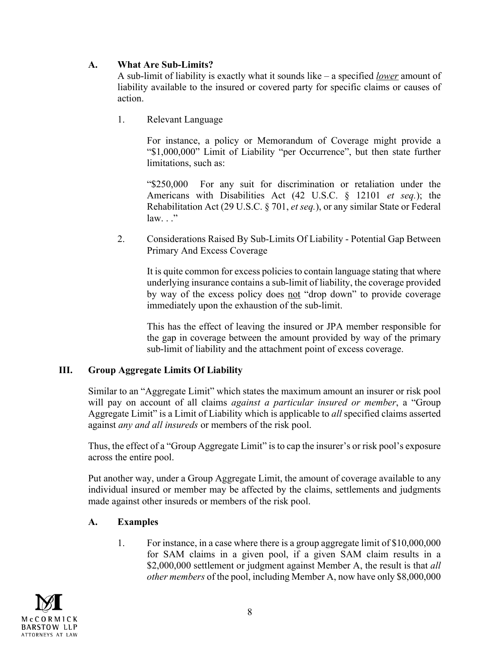# **A. What Are Sub-Limits?**

A sub-limit of liability is exactly what it sounds like – a specified *lower* amount of liability available to the insured or covered party for specific claims or causes of action.

1. Relevant Language

For instance, a policy or Memorandum of Coverage might provide a "\$1,000,000" Limit of Liability "per Occurrence", but then state further limitations, such as:

"\$250,000 For any suit for discrimination or retaliation under the Americans with Disabilities Act (42 U.S.C. § 12101 *et seq.*); the Rehabilitation Act (29 U.S.C. § 701, *et seq.*), or any similar State or Federal law. . ."

2. Considerations Raised By Sub-Limits Of Liability - Potential Gap Between Primary And Excess Coverage

It is quite common for excess policies to contain language stating that where underlying insurance contains a sub-limit of liability, the coverage provided by way of the excess policy does not "drop down" to provide coverage immediately upon the exhaustion of the sub-limit.

This has the effect of leaving the insured or JPA member responsible for the gap in coverage between the amount provided by way of the primary sub-limit of liability and the attachment point of excess coverage.

# **III. Group Aggregate Limits Of Liability**

Similar to an "Aggregate Limit" which states the maximum amount an insurer or risk pool will pay on account of all claims *against a particular insured or member*, a "Group Aggregate Limit" is a Limit of Liability which is applicable to *all* specified claims asserted against *any and all insureds* or members of the risk pool.

Thus, the effect of a "Group Aggregate Limit" is to cap the insurer's or risk pool's exposure across the entire pool.

Put another way, under a Group Aggregate Limit, the amount of coverage available to any individual insured or member may be affected by the claims, settlements and judgments made against other insureds or members of the risk pool.

# **A. Examples**

1. For instance, in a case where there is a group aggregate limit of \$10,000,000 for SAM claims in a given pool, if a given SAM claim results in a \$2,000,000 settlement or judgment against Member A, the result is that *all other members* of the pool, including Member A, now have only \$8,000,000

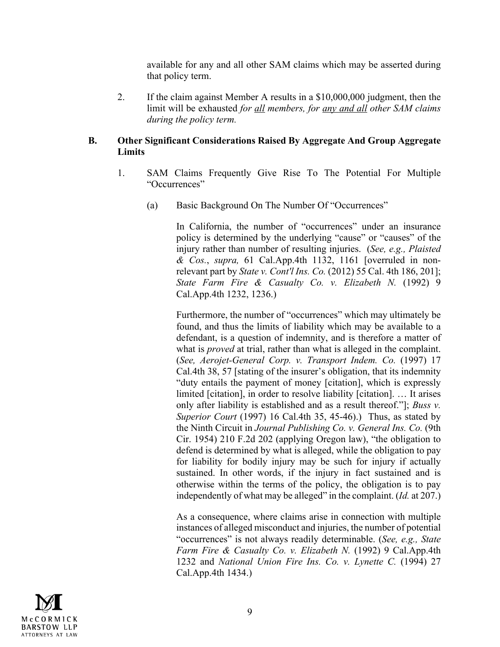available for any and all other SAM claims which may be asserted during that policy term.

2. If the claim against Member A results in a \$10,000,000 judgment, then the limit will be exhausted *for all members, for any and all other SAM claims during the policy term.*

## **B. Other Significant Considerations Raised By Aggregate And Group Aggregate Limits**

- 1. SAM Claims Frequently Give Rise To The Potential For Multiple "Occurrences"
	- (a) Basic Background On The Number Of "Occurrences"

In California, the number of "occurrences" under an insurance policy is determined by the underlying "cause" or "causes" of the injury rather than number of resulting injuries. (*See, e.g., Plaisted & Cos.*, *supra,* 61 Cal.App.4th 1132, 1161 [overruled in nonrelevant part by *State v. Cont'l Ins. Co.* (2012) 55 Cal. 4th 186, 201]; *State Farm Fire & Casualty Co. v. Elizabeth N.* (1992) 9 Cal.App.4th 1232, 1236.)

Furthermore, the number of "occurrences" which may ultimately be found, and thus the limits of liability which may be available to a defendant, is a question of indemnity, and is therefore a matter of what is *proved* at trial, rather than what is alleged in the complaint. (*See, Aerojet-General Corp. v. Transport Indem. Co.* (1997) 17 Cal.4th 38, 57 [stating of the insurer's obligation, that its indemnity "duty entails the payment of money [citation], which is expressly limited [citation], in order to resolve liability [citation]. … It arises only after liability is established and as a result thereof."]; *Buss v. Superior Court* (1997) 16 Cal.4th 35, 45-46).) Thus, as stated by the Ninth Circuit in *Journal Publishing Co. v. General Ins. Co.* (9th Cir. 1954) 210 F.2d 202 (applying Oregon law), "the obligation to defend is determined by what is alleged, while the obligation to pay for liability for bodily injury may be such for injury if actually sustained. In other words, if the injury in fact sustained and is otherwise within the terms of the policy, the obligation is to pay independently of what may be alleged" in the complaint. (*Id.* at 207.)

As a consequence, where claims arise in connection with multiple instances of alleged misconduct and injuries, the number of potential "occurrences" is not always readily determinable. (*See, e.g., State Farm Fire & Casualty Co. v. Elizabeth N.* (1992) 9 Cal.App.4th 1232 and *National Union Fire Ins. Co. v. Lynette C.* (1994) 27 Cal.App.4th 1434.)

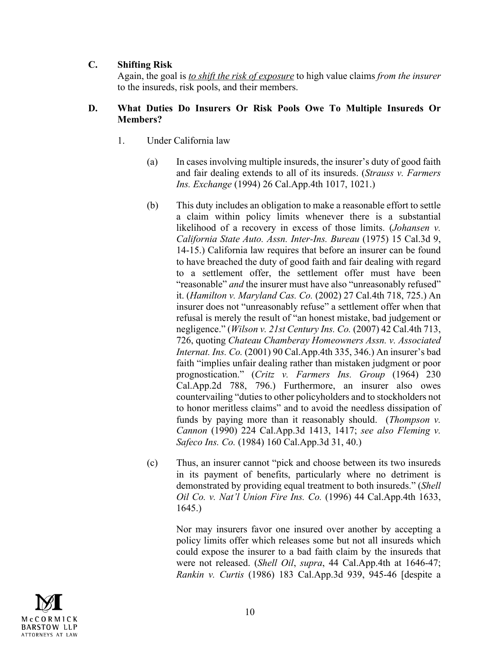## **C. Shifting Risk**

Again, the goal is *to shift the risk of exposure* to high value claims *from the insurer* to the insureds, risk pools, and their members.

## **D. What Duties Do Insurers Or Risk Pools Owe To Multiple Insureds Or Members?**

- 1. Under California law
	- (a) In cases involving multiple insureds, the insurer's duty of good faith and fair dealing extends to all of its insureds. (*Strauss v. Farmers Ins. Exchange* (1994) 26 Cal.App.4th 1017, 1021.)
	- (b) This duty includes an obligation to make a reasonable effort to settle a claim within policy limits whenever there is a substantial likelihood of a recovery in excess of those limits. (*Johansen v. California State Auto. Assn. Inter-Ins. Bureau* (1975) 15 Cal.3d 9, 14-15.) California law requires that before an insurer can be found to have breached the duty of good faith and fair dealing with regard to a settlement offer, the settlement offer must have been "reasonable" *and* the insurer must have also "unreasonably refused" it. (*Hamilton v. Maryland Cas. Co.* (2002) 27 Cal.4th 718, 725.) An insurer does not "unreasonably refuse" a settlement offer when that refusal is merely the result of "an honest mistake, bad judgement or negligence." (*Wilson v. 21st Century Ins. Co.* (2007) 42 Cal.4th 713, 726, quoting *Chateau Chamberay Homeowners Assn. v. Associated Internat. Ins. Co.* (2001) 90 Cal.App.4th 335, 346.) An insurer's bad faith "implies unfair dealing rather than mistaken judgment or poor prognostication." (*Critz v. Farmers Ins. Group* (1964) 230 Cal.App.2d 788, 796.) Furthermore, an insurer also owes countervailing "duties to other policyholders and to stockholders not to honor meritless claims" and to avoid the needless dissipation of funds by paying more than it reasonably should. (*Thompson v. Cannon* (1990) 224 Cal.App.3d 1413, 1417; *see also Fleming v. Safeco Ins. Co.* (1984) 160 Cal.App.3d 31, 40.)
	- (c) Thus, an insurer cannot "pick and choose between its two insureds in its payment of benefits, particularly where no detriment is demonstrated by providing equal treatment to both insureds." (*Shell Oil Co. v. Nat'l Union Fire Ins. Co.* (1996) 44 Cal.App.4th 1633, 1645.)

Nor may insurers favor one insured over another by accepting a policy limits offer which releases some but not all insureds which could expose the insurer to a bad faith claim by the insureds that were not released. (*Shell Oil*, *supra*, 44 Cal.App.4th at 1646-47; *Rankin v. Curtis* (1986) 183 Cal.App.3d 939, 945-46 [despite a

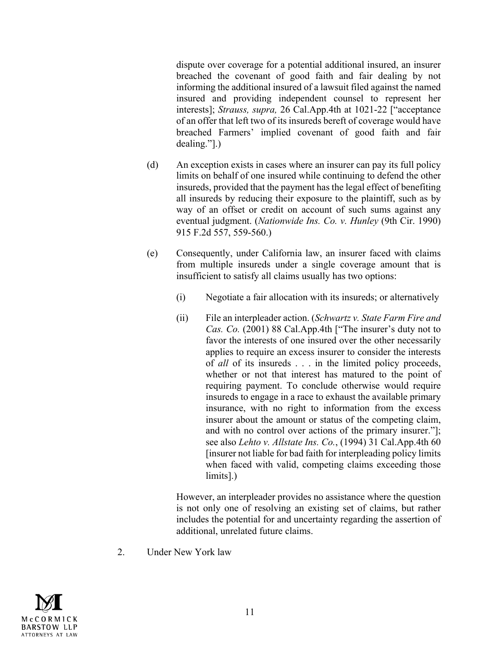dispute over coverage for a potential additional insured, an insurer breached the covenant of good faith and fair dealing by not informing the additional insured of a lawsuit filed against the named insured and providing independent counsel to represent her interests]; *Strauss, supra,* 26 Cal.App.4th at 1021-22 ["acceptance of an offer that left two of its insureds bereft of coverage would have breached Farmers' implied covenant of good faith and fair dealing."].)

- (d) An exception exists in cases where an insurer can pay its full policy limits on behalf of one insured while continuing to defend the other insureds, provided that the payment has the legal effect of benefiting all insureds by reducing their exposure to the plaintiff, such as by way of an offset or credit on account of such sums against any eventual judgment. (*Nationwide Ins. Co. v. Hunley* (9th Cir. 1990) 915 F.2d 557, 559-560.)
- (e) Consequently, under California law, an insurer faced with claims from multiple insureds under a single coverage amount that is insufficient to satisfy all claims usually has two options:
	- (i) Negotiate a fair allocation with its insureds; or alternatively
	- (ii) File an interpleader action. (*Schwartz v. State Farm Fire and Cas. Co.* (2001) 88 Cal.App.4th ["The insurer's duty not to favor the interests of one insured over the other necessarily applies to require an excess insurer to consider the interests of *all* of its insureds . . . in the limited policy proceeds, whether or not that interest has matured to the point of requiring payment. To conclude otherwise would require insureds to engage in a race to exhaust the available primary insurance, with no right to information from the excess insurer about the amount or status of the competing claim, and with no control over actions of the primary insurer."]; see also *Lehto v. Allstate Ins. Co.*, (1994) 31 Cal.App.4th 60 [insurer not liable for bad faith for interpleading policy limits when faced with valid, competing claims exceeding those limits].)

However, an interpleader provides no assistance where the question is not only one of resolving an existing set of claims, but rather includes the potential for and uncertainty regarding the assertion of additional, unrelated future claims.

2. Under New York law

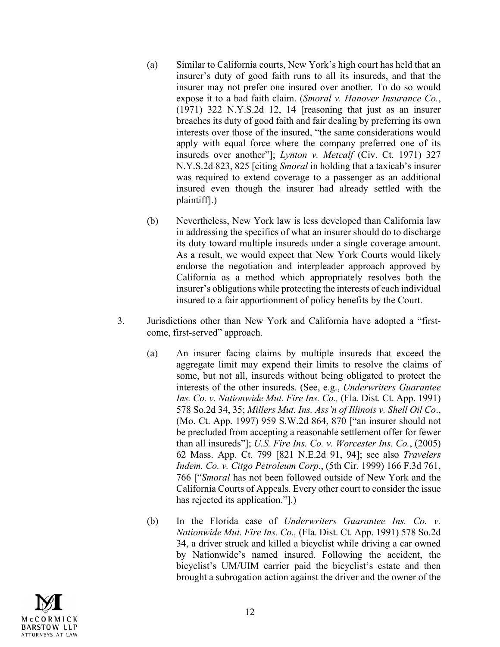- (a) Similar to California courts, New York's high court has held that an insurer's duty of good faith runs to all its insureds, and that the insurer may not prefer one insured over another. To do so would expose it to a bad faith claim. (*Smoral v. Hanover Insurance Co.*, (1971) 322 N.Y.S.2d 12, 14 [reasoning that just as an insurer breaches its duty of good faith and fair dealing by preferring its own interests over those of the insured, "the same considerations would apply with equal force where the company preferred one of its insureds over another"]; *Lynton v. Metcalf* (Civ. Ct. 1971) 327 N.Y.S.2d 823, 825 [citing *Smoral* in holding that a taxicab's insurer was required to extend coverage to a passenger as an additional insured even though the insurer had already settled with the plaintiff].)
- (b) Nevertheless, New York law is less developed than California law in addressing the specifics of what an insurer should do to discharge its duty toward multiple insureds under a single coverage amount. As a result, we would expect that New York Courts would likely endorse the negotiation and interpleader approach approved by California as a method which appropriately resolves both the insurer's obligations while protecting the interests of each individual insured to a fair apportionment of policy benefits by the Court.
- 3. Jurisdictions other than New York and California have adopted a "firstcome, first-served" approach.
	- (a) An insurer facing claims by multiple insureds that exceed the aggregate limit may expend their limits to resolve the claims of some, but not all, insureds without being obligated to protect the interests of the other insureds. (See, e.g., *Underwriters Guarantee Ins. Co. v. Nationwide Mut. Fire Ins. Co.,* (Fla. Dist. Ct. App. 1991) 578 So.2d 34, 35; *Millers Mut. Ins. Ass'n of Illinois v. Shell Oil Co*., (Mo. Ct. App. 1997) 959 S.W.2d 864, 870 ["an insurer should not be precluded from accepting a reasonable settlement offer for fewer than all insureds"]; *U.S. Fire Ins. Co. v. Worcester Ins. Co.*, (2005) 62 Mass. App. Ct. 799 [821 N.E.2d 91, 94]; see also *Travelers Indem. Co. v. Citgo Petroleum Corp.*, (5th Cir. 1999) 166 F.3d 761, 766 ["*Smoral* has not been followed outside of New York and the California Courts of Appeals. Every other court to consider the issue has rejected its application."].)
	- (b) In the Florida case of *Underwriters Guarantee Ins. Co. v. Nationwide Mut. Fire Ins. Co.,* (Fla. Dist. Ct. App. 1991) 578 So.2d 34, a driver struck and killed a bicyclist while driving a car owned by Nationwide's named insured. Following the accident, the bicyclist's UM/UIM carrier paid the bicyclist's estate and then brought a subrogation action against the driver and the owner of the

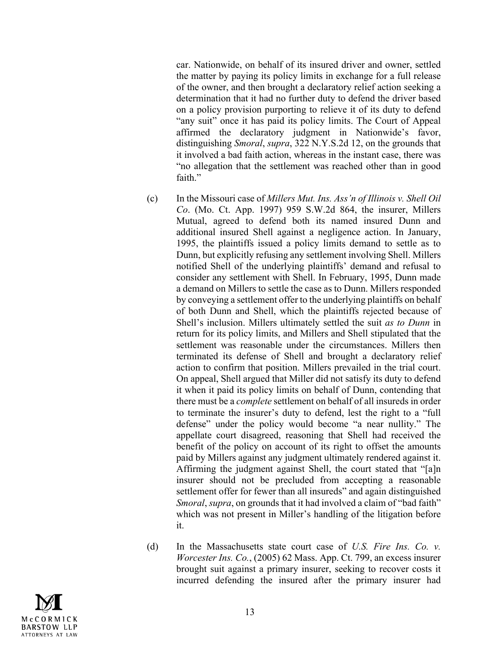car. Nationwide, on behalf of its insured driver and owner, settled the matter by paying its policy limits in exchange for a full release of the owner, and then brought a declaratory relief action seeking a determination that it had no further duty to defend the driver based on a policy provision purporting to relieve it of its duty to defend "any suit" once it has paid its policy limits. The Court of Appeal affirmed the declaratory judgment in Nationwide's favor, distinguishing *Smoral*, *supra*, 322 N.Y.S.2d 12, on the grounds that it involved a bad faith action, whereas in the instant case, there was "no allegation that the settlement was reached other than in good faith."

- (c) In the Missouri case of *Millers Mut. Ins. Ass'n of Illinois v. Shell Oil Co*. (Mo. Ct. App. 1997) 959 S.W.2d 864, the insurer, Millers Mutual, agreed to defend both its named insured Dunn and additional insured Shell against a negligence action. In January, 1995, the plaintiffs issued a policy limits demand to settle as to Dunn, but explicitly refusing any settlement involving Shell. Millers notified Shell of the underlying plaintiffs' demand and refusal to consider any settlement with Shell. In February, 1995, Dunn made a demand on Millers to settle the case as to Dunn. Millers responded by conveying a settlement offer to the underlying plaintiffs on behalf of both Dunn and Shell, which the plaintiffs rejected because of Shell's inclusion. Millers ultimately settled the suit *as to Dunn* in return for its policy limits, and Millers and Shell stipulated that the settlement was reasonable under the circumstances. Millers then terminated its defense of Shell and brought a declaratory relief action to confirm that position. Millers prevailed in the trial court. On appeal, Shell argued that Miller did not satisfy its duty to defend it when it paid its policy limits on behalf of Dunn, contending that there must be a *complete* settlement on behalf of all insureds in order to terminate the insurer's duty to defend, lest the right to a "full defense" under the policy would become "a near nullity." The appellate court disagreed, reasoning that Shell had received the benefit of the policy on account of its right to offset the amounts paid by Millers against any judgment ultimately rendered against it. Affirming the judgment against Shell, the court stated that "[a]n insurer should not be precluded from accepting a reasonable settlement offer for fewer than all insureds" and again distinguished *Smoral*, *supra*, on grounds that it had involved a claim of "bad faith" which was not present in Miller's handling of the litigation before it.
- (d) In the Massachusetts state court case of *U.S. Fire Ins. Co. v. Worcester Ins. Co.*, (2005) 62 Mass. App. Ct. 799, an excess insurer brought suit against a primary insurer, seeking to recover costs it incurred defending the insured after the primary insurer had

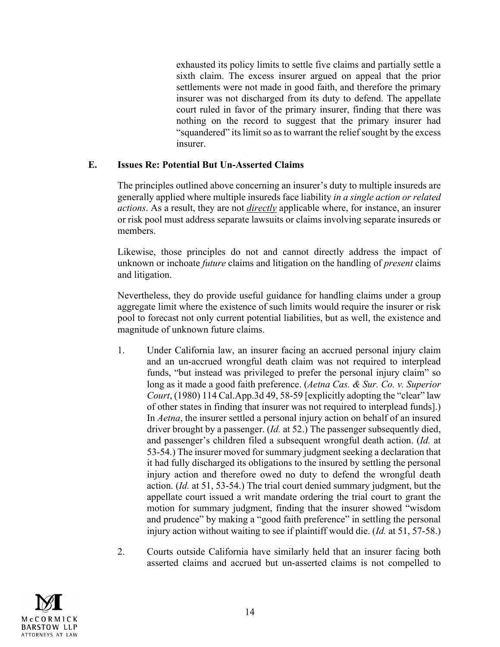exhausted its policy limits to settle five claims and partially settle a sixth claim. The excess insurer argued on appeal that the prior settlements were not made in good faith, and therefore the primary insurer was not discharged from its duty to defend. The appellate court ruled in favor of the primary insurer, finding that there was nothing on the record to suggest that the primary insurer had "squandered" its limit so as to warrant the relief sought by the excess insurer.

## **E. Issues Re: Potential But Un-Asserted Claims**

The principles outlined above concerning an insurer's duty to multiple insureds are generally applied where multiple insureds face liability *in a single action or related actions*. As a result, they are not *directly* applicable where, for instance, an insurer or risk pool must address separate lawsuits or claims involving separate insureds or members.

Likewise, those principles do not and cannot directly address the impact of unknown or inchoate *future* claims and litigation on the handling of *present* claims and litigation.

Nevertheless, they do provide useful guidance for handling claims under a group aggregate limit where the existence of such limits would require the insurer or risk pool to forecast not only current potential liabilities, but as well, the existence and magnitude of unknown future claims.

- 1. Under California law, an insurer facing an accrued personal injury claim and an un-accrued wrongful death claim was not required to interplead funds, "but instead was privileged to prefer the personal injury claim" so long as it made a good faith preference. (*Aetna Cas. & Sur. Co. v. Superior Court*, (1980) 114 Cal.App.3d 49, 58-59 [explicitly adopting the "clear" law of other states in finding that insurer was not required to interplead funds].) In *Aetna*, the insurer settled a personal injury action on behalf of an insured driver brought by a passenger. (*Id.* at 52.) The passenger subsequently died, and passenger's children filed a subsequent wrongful death action. (*Id.* at 53-54.) The insurer moved for summary judgment seeking a declaration that it had fully discharged its obligations to the insured by settling the personal injury action and therefore owed no duty to defend the wrongful death action. (*Id.* at 51, 53-54.) The trial court denied summary judgment, but the appellate court issued a writ mandate ordering the trial court to grant the motion for summary judgment, finding that the insurer showed "wisdom and prudence" by making a "good faith preference" in settling the personal injury action without waiting to see if plaintiff would die. (*Id.* at 51, 57-58.)
- 2. Courts outside California have similarly held that an insurer facing both asserted claims and accrued but un-asserted claims is not compelled to

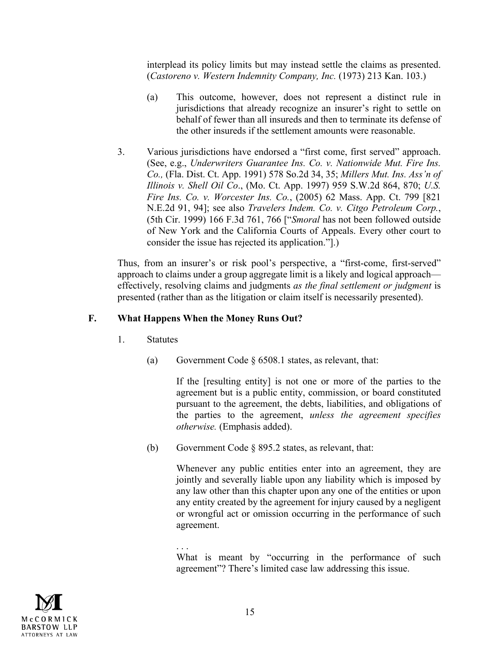interplead its policy limits but may instead settle the claims as presented. (*Castoreno v. Western Indemnity Company, Inc.* (1973) 213 Kan. 103.)

- (a) This outcome, however, does not represent a distinct rule in jurisdictions that already recognize an insurer's right to settle on behalf of fewer than all insureds and then to terminate its defense of the other insureds if the settlement amounts were reasonable.
- 3. Various jurisdictions have endorsed a "first come, first served" approach. (See, e.g., *Underwriters Guarantee Ins. Co. v. Nationwide Mut. Fire Ins. Co.,* (Fla. Dist. Ct. App. 1991) 578 So.2d 34, 35; *Millers Mut. Ins. Ass'n of Illinois v. Shell Oil Co*., (Mo. Ct. App. 1997) 959 S.W.2d 864, 870; *U.S. Fire Ins. Co. v. Worcester Ins. Co.*, (2005) 62 Mass. App. Ct. 799 [821 N.E.2d 91, 94]; see also *Travelers Indem. Co. v. Citgo Petroleum Corp.*, (5th Cir. 1999) 166 F.3d 761, 766 ["*Smoral* has not been followed outside of New York and the California Courts of Appeals. Every other court to consider the issue has rejected its application."].)

Thus, from an insurer's or risk pool's perspective, a "first-come, first-served" approach to claims under a group aggregate limit is a likely and logical approach effectively, resolving claims and judgments *as the final settlement or judgment* is presented (rather than as the litigation or claim itself is necessarily presented).

## **F. What Happens When the Money Runs Out?**

- 1. Statutes
	- (a) Government Code § 6508.1 states, as relevant, that:

If the [resulting entity] is not one or more of the parties to the agreement but is a public entity, commission, or board constituted pursuant to the agreement, the debts, liabilities, and obligations of the parties to the agreement, *unless the agreement specifies otherwise.* (Emphasis added).

(b) Government Code § 895.2 states, as relevant, that:

Whenever any public entities enter into an agreement, they are jointly and severally liable upon any liability which is imposed by any law other than this chapter upon any one of the entities or upon any entity created by the agreement for injury caused by a negligent or wrongful act or omission occurring in the performance of such agreement.



<sup>. . .</sup> What is meant by "occurring in the performance of such agreement"? There's limited case law addressing this issue.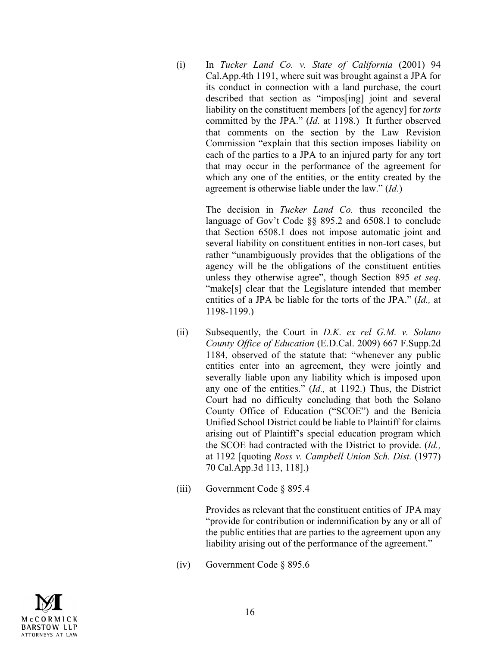(i) In *Tucker Land Co. v. State of California* (2001) 94 Cal.App.4th 1191, where suit was brought against a JPA for its conduct in connection with a land purchase, the court described that section as "impos[ing] joint and several liability on the constituent members [of the agency] for *torts*  committed by the JPA." (*Id.* at 1198.) It further observed that comments on the section by the Law Revision Commission "explain that this section imposes liability on each of the parties to a JPA to an injured party for any tort that may occur in the performance of the agreement for which any one of the entities, or the entity created by the agreement is otherwise liable under the law." (*Id.*)

> The decision in *Tucker Land Co.* thus reconciled the language of Gov't Code §§ 895.2 and 6508.1 to conclude that Section 6508.1 does not impose automatic joint and several liability on constituent entities in non-tort cases, but rather "unambiguously provides that the obligations of the agency will be the obligations of the constituent entities unless they otherwise agree", though Section 895 *et seq*. "make[s] clear that the Legislature intended that member entities of a JPA be liable for the torts of the JPA." (*Id.,* at 1198-1199.)

- (ii) Subsequently, the Court in *D.K. ex rel G.M. v. Solano County Office of Education* (E.D.Cal. 2009) 667 F.Supp.2d 1184, observed of the statute that: "whenever any public entities enter into an agreement, they were jointly and severally liable upon any liability which is imposed upon any one of the entities." (*Id.,* at 1192.) Thus, the District Court had no difficulty concluding that both the Solano County Office of Education ("SCOE") and the Benicia Unified School District could be liable to Plaintiff for claims arising out of Plaintiff's special education program which the SCOE had contracted with the District to provide. (*Id.,*  at 1192 [quoting *Ross v. Campbell Union Sch. Dist.* (1977) 70 Cal.App.3d 113, 118].)
- (iii) Government Code § 895.4

Provides as relevant that the constituent entities of JPA may "provide for contribution or indemnification by any or all of the public entities that are parties to the agreement upon any liability arising out of the performance of the agreement."

(iv) Government Code § 895.6

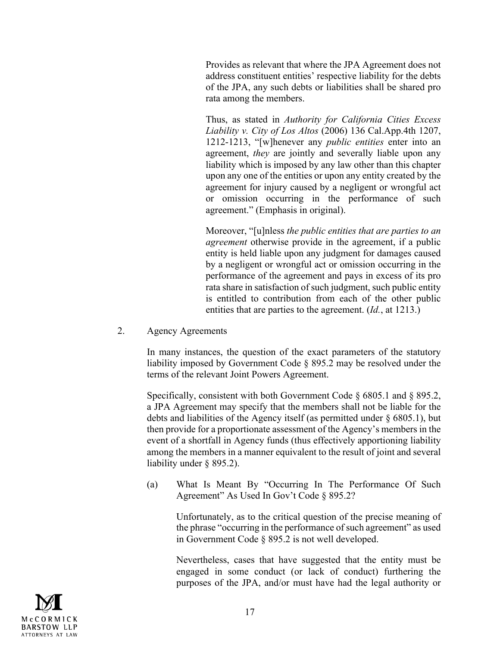Provides as relevant that where the JPA Agreement does not address constituent entities' respective liability for the debts of the JPA, any such debts or liabilities shall be shared pro rata among the members.

Thus, as stated in *Authority for California Cities Excess Liability v. City of Los Altos* (2006) 136 Cal.App.4th 1207, 1212-1213, "[w]henever any *public entities* enter into an agreement, *they* are jointly and severally liable upon any liability which is imposed by any law other than this chapter upon any one of the entities or upon any entity created by the agreement for injury caused by a negligent or wrongful act or omission occurring in the performance of such agreement." (Emphasis in original).

Moreover, "[u]nless *the public entities that are parties to an agreement* otherwise provide in the agreement, if a public entity is held liable upon any judgment for damages caused by a negligent or wrongful act or omission occurring in the performance of the agreement and pays in excess of its pro rata share in satisfaction of such judgment, such public entity is entitled to contribution from each of the other public entities that are parties to the agreement. (*Id.*, at 1213.)

2. Agency Agreements

In many instances, the question of the exact parameters of the statutory liability imposed by Government Code § 895.2 may be resolved under the terms of the relevant Joint Powers Agreement.

Specifically, consistent with both Government Code § 6805.1 and § 895.2, a JPA Agreement may specify that the members shall not be liable for the debts and liabilities of the Agency itself (as permitted under § 6805.1), but then provide for a proportionate assessment of the Agency's members in the event of a shortfall in Agency funds (thus effectively apportioning liability among the members in a manner equivalent to the result of joint and several liability under § 895.2).

(a) What Is Meant By "Occurring In The Performance Of Such Agreement" As Used In Gov't Code § 895.2?

Unfortunately, as to the critical question of the precise meaning of the phrase "occurring in the performance of such agreement" as used in Government Code § 895.2 is not well developed.

Nevertheless, cases that have suggested that the entity must be engaged in some conduct (or lack of conduct) furthering the purposes of the JPA, and/or must have had the legal authority or

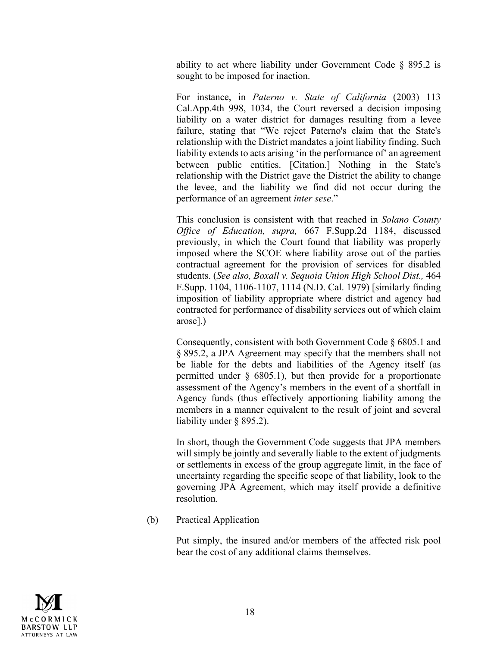ability to act where liability under Government Code § 895.2 is sought to be imposed for inaction.

For instance, in *Paterno v. State of California* (2003) 113 Cal.App.4th 998, 1034, the Court reversed a decision imposing liability on a water district for damages resulting from a levee failure, stating that "We reject Paterno's claim that the State's relationship with the District mandates a joint liability finding. Such liability extends to acts arising 'in the performance of' an agreement between public entities. [Citation.] Nothing in the State's relationship with the District gave the District the ability to change the levee, and the liability we find did not occur during the performance of an agreement *inter sese*."

This conclusion is consistent with that reached in *Solano County Office of Education, supra,* 667 F.Supp.2d 1184, discussed previously, in which the Court found that liability was properly imposed where the SCOE where liability arose out of the parties contractual agreement for the provision of services for disabled students. (*See also, Boxall v. Sequoia Union High School Dist.,* 464 F.Supp. 1104, 1106-1107, 1114 (N.D. Cal. 1979) [similarly finding imposition of liability appropriate where district and agency had contracted for performance of disability services out of which claim arose].)

Consequently, consistent with both Government Code § 6805.1 and § 895.2, a JPA Agreement may specify that the members shall not be liable for the debts and liabilities of the Agency itself (as permitted under § 6805.1), but then provide for a proportionate assessment of the Agency's members in the event of a shortfall in Agency funds (thus effectively apportioning liability among the members in a manner equivalent to the result of joint and several liability under § 895.2).

In short, though the Government Code suggests that JPA members will simply be jointly and severally liable to the extent of judgments or settlements in excess of the group aggregate limit, in the face of uncertainty regarding the specific scope of that liability, look to the governing JPA Agreement, which may itself provide a definitive resolution.

(b) Practical Application

Put simply, the insured and/or members of the affected risk pool bear the cost of any additional claims themselves.

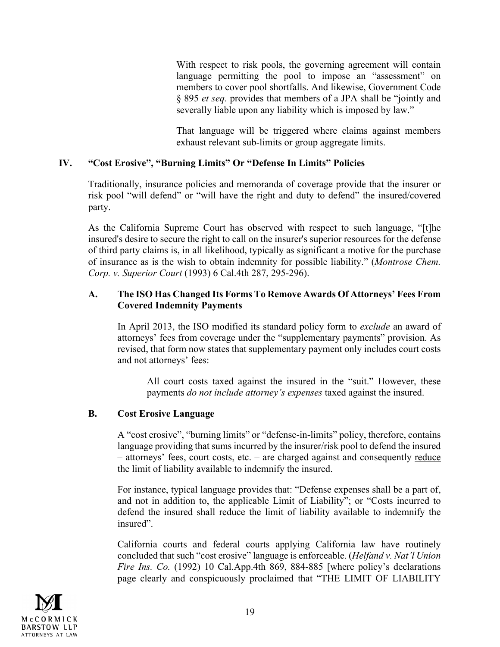With respect to risk pools, the governing agreement will contain language permitting the pool to impose an "assessment" on members to cover pool shortfalls. And likewise, Government Code § 895 *et seq.* provides that members of a JPA shall be "jointly and severally liable upon any liability which is imposed by law."

That language will be triggered where claims against members exhaust relevant sub-limits or group aggregate limits.

## **IV. "Cost Erosive", "Burning Limits" Or "Defense In Limits" Policies**

Traditionally, insurance policies and memoranda of coverage provide that the insurer or risk pool "will defend" or "will have the right and duty to defend" the insured/covered party.

As the California Supreme Court has observed with respect to such language, "[t]he insured's desire to secure the right to call on the insurer's superior resources for the defense of third party claims is, in all likelihood, typically as significant a motive for the purchase of insurance as is the wish to obtain indemnity for possible liability." (*Montrose Chem. Corp. v. Superior Court* (1993) 6 Cal.4th 287, 295-296).

## **A. The ISO Has Changed Its Forms To Remove Awards Of Attorneys' Fees From Covered Indemnity Payments**

In April 2013, the ISO modified its standard policy form to *exclude* an award of attorneys' fees from coverage under the "supplementary payments" provision. As revised, that form now states that supplementary payment only includes court costs and not attorneys' fees:

All court costs taxed against the insured in the "suit." However, these payments *do not include attorney's expenses* taxed against the insured.

## **B. Cost Erosive Language**

A "cost erosive", "burning limits" or "defense-in-limits" policy, therefore, contains language providing that sums incurred by the insurer/risk pool to defend the insured – attorneys' fees, court costs, etc. – are charged against and consequently reduce the limit of liability available to indemnify the insured.

For instance, typical language provides that: "Defense expenses shall be a part of, and not in addition to, the applicable Limit of Liability"; or "Costs incurred to defend the insured shall reduce the limit of liability available to indemnify the insured".

California courts and federal courts applying California law have routinely concluded that such "cost erosive" language is enforceable. (*Helfand v. Nat'l Union Fire Ins. Co.* (1992) 10 Cal.App.4th 869, 884-885 [where policy's declarations page clearly and conspicuously proclaimed that "THE LIMIT OF LIABILITY

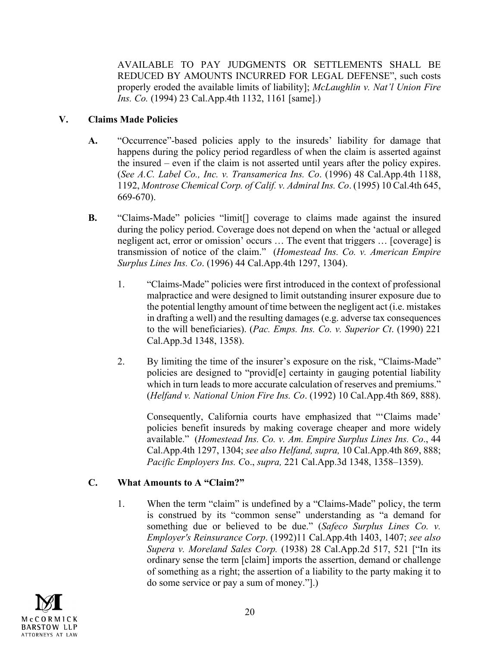AVAILABLE TO PAY JUDGMENTS OR SETTLEMENTS SHALL BE REDUCED BY AMOUNTS INCURRED FOR LEGAL DEFENSE", such costs properly eroded the available limits of liability]; *McLaughlin v. Nat'l Union Fire Ins. Co.* (1994) 23 Cal.App.4th 1132, 1161 [same].)

# **V. Claims Made Policies**

- **A.** "Occurrence"-based policies apply to the insureds' liability for damage that happens during the policy period regardless of when the claim is asserted against the insured – even if the claim is not asserted until years after the policy expires. (*See A.C. Label Co., Inc. v. Transamerica Ins. Co*. (1996) 48 Cal.App.4th 1188, 1192, *Montrose Chemical Corp. of Calif. v. Admiral Ins. Co*. (1995) 10 Cal.4th 645, 669-670).
- **B.** "Claims-Made" policies "limit[] coverage to claims made against the insured during the policy period. Coverage does not depend on when the 'actual or alleged negligent act, error or omission' occurs … The event that triggers … [coverage] is transmission of notice of the claim." (*Homestead Ins. Co. v. American Empire Surplus Lines Ins. Co*. (1996) 44 Cal.App.4th 1297, 1304).
	- 1. "Claims-Made" policies were first introduced in the context of professional malpractice and were designed to limit outstanding insurer exposure due to the potential lengthy amount of time between the negligent act (i.e. mistakes in drafting a well) and the resulting damages (e.g. adverse tax consequences to the will beneficiaries). (*Pac. Emps. Ins. Co. v. Superior Ct*. (1990) 221 Cal.App.3d 1348, 1358).
	- 2. By limiting the time of the insurer's exposure on the risk, "Claims-Made" policies are designed to "provid[e] certainty in gauging potential liability which in turn leads to more accurate calculation of reserves and premiums." (*Helfand v. National Union Fire Ins. Co*. (1992) 10 Cal.App.4th 869, 888).

Consequently, California courts have emphasized that "'Claims made' policies benefit insureds by making coverage cheaper and more widely available." (*Homestead Ins. Co. v. Am. Empire Surplus Lines Ins. Co*., 44 Cal.App.4th 1297, 1304; *see also Helfand, supra,* 10 Cal.App.4th 869, 888; *Pacific Employers Ins. C*o., *supra,* 221 Cal.App.3d 1348, 1358–1359).

# **C. What Amounts to A "Claim?"**

1. When the term "claim" is undefined by a "Claims-Made" policy, the term is construed by its "common sense" understanding as "a demand for something due or believed to be due." (*Safeco Surplus Lines Co. v. Employer's Reinsurance Corp*. (1992)11 Cal.App.4th 1403, 1407; *see also Supera v. Moreland Sales Corp.* (1938) 28 Cal.App.2d 517, 521 ["In its ordinary sense the term [claim] imports the assertion, demand or challenge of something as a right; the assertion of a liability to the party making it to do some service or pay a sum of money."].)

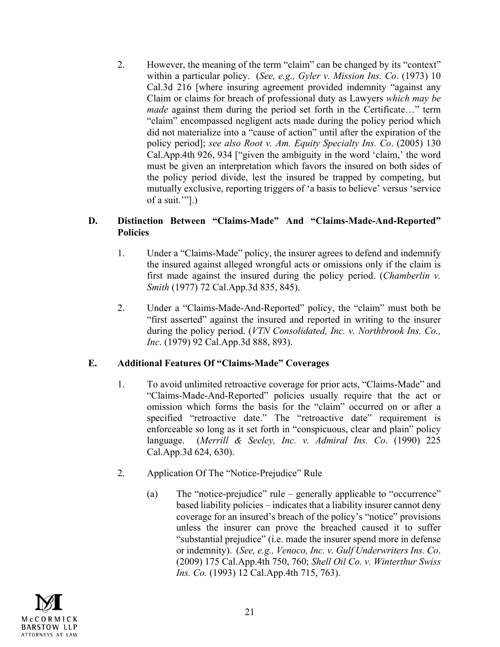2. However, the meaning of the term "claim" can be changed by its "context" within a particular policy. (*See, e.g., Gyler v. Mission Ins. Co*. (1973) 10 Cal.3d 216 [where insuring agreement provided indemnity "against any Claim or claims for breach of professional duty as Lawyers *which may be made* against them during the period set forth in the Certificate..." term "claim" encompassed negligent acts made during the policy period which did not materialize into a "cause of action" until after the expiration of the policy period]; *see also Root v. Am. Equity Specialty Ins. Co*. (2005) 130 Cal.App.4th 926, 934 ["given the ambiguity in the word 'claim,' the word must be given an interpretation which favors the insured on both sides of the policy period divide, lest the insured be trapped by competing, but mutually exclusive, reporting triggers of 'a basis to believe' versus 'service of a suit.'"].)

## **D. Distinction Between "Claims-Made" And "Claims-Made-And-Reported" Policies**

- 1. Under a "Claims-Made" policy, the insurer agrees to defend and indemnify the insured against alleged wrongful acts or omissions only if the claim is first made against the insured during the policy period. (*Chamberlin v. Smith* (1977) 72 Cal.App.3d 835, 845).
- 2. Under a "Claims-Made-And-Reported" policy, the "claim" must both be "first asserted" against the insured and reported in writing to the insurer during the policy period. (*VTN Consolidated, Inc. v. Northbrook Ins. Co., Inc*. (1979) 92 Cal.App.3d 888, 893).

# **E. Additional Features Of "Claims-Made" Coverages**

- 1. To avoid unlimited retroactive coverage for prior acts, "Claims-Made" and "Claims-Made-And-Reported" policies usually require that the act or omission which forms the basis for the "claim" occurred on or after a specified "retroactive date." The "retroactive date" requirement is enforceable so long as it set forth in "conspicuous, clear and plain" policy language. (*Merrill & Seeley, Inc. v. Admiral Ins. Co*. (1990) 225 Cal.App.3d 624, 630).
- 2. Application Of The "Notice-Prejudice" Rule
	- (a) The "notice-prejudice" rule generally applicable to "occurrence" based liability policies – indicates that a liability insurer cannot deny coverage for an insured's breach of the policy's "notice" provisions unless the insurer can prove the breached caused it to suffer "substantial prejudice" (i.e. made the insurer spend more in defense or indemnity). (*See, e.g., Venoco, Inc. v. Gulf Underwriters Ins. Co*. (2009) 175 Cal.App.4th 750, 760; *Shell Oil Co. v. Winterthur Swiss Ins. Co.* (1993) 12 Cal.App.4th 715, 763).

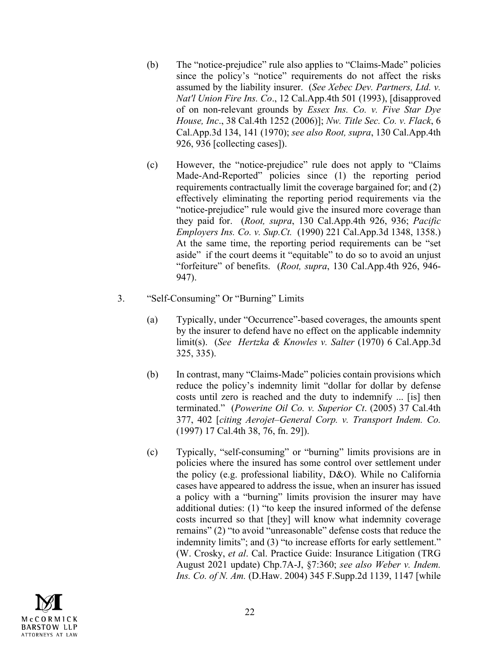- (b) The "notice-prejudice" rule also applies to "Claims-Made" policies since the policy's "notice" requirements do not affect the risks assumed by the liability insurer. (*See Xebec Dev. Partners, Ltd. v. Nat'l Union Fire Ins. Co*., 12 Cal.App.4th 501 (1993), [disapproved of on non-relevant grounds by *Essex Ins. Co. v. Five Star Dye House, Inc*., 38 Cal.4th 1252 (2006)]; *Nw. Title Sec. Co. v. Flack*, 6 Cal.App.3d 134, 141 (1970); *see also Root, supra*, 130 Cal.App.4th 926, 936 [collecting cases]).
- (c) However, the "notice-prejudice" rule does not apply to "Claims Made-And-Reported" policies since (1) the reporting period requirements contractually limit the coverage bargained for; and (2) effectively eliminating the reporting period requirements via the "notice-prejudice" rule would give the insured more coverage than they paid for. (*Root, supra*, 130 Cal.App.4th 926, 936; *Pacific Employers Ins. Co. v. Sup.Ct.* (1990) 221 Cal.App.3d 1348, 1358.) At the same time, the reporting period requirements can be "set aside" if the court deems it "equitable" to do so to avoid an unjust "forfeiture" of benefits. (*Root, supra*, 130 Cal.App.4th 926, 946- 947).
- 3. "Self-Consuming" Or "Burning" Limits
	- (a) Typically, under "Occurrence"-based coverages, the amounts spent by the insurer to defend have no effect on the applicable indemnity limit(s). (*See Hertzka & Knowles v. Salter* (1970) 6 Cal.App.3d 325, 335).
	- (b) In contrast, many "Claims-Made" policies contain provisions which reduce the policy's indemnity limit "dollar for dollar by defense costs until zero is reached and the duty to indemnify ... [is] then terminated." (*Powerine Oil Co. v. Superior Ct*. (2005) 37 Cal.4th 377, 402 [*citing Aerojet–General Corp. v. Transport Indem. Co.*  (1997) 17 Cal.4th 38, 76, fn. 29]).
	- (c) Typically, "self-consuming" or "burning" limits provisions are in policies where the insured has some control over settlement under the policy (e.g. professional liability, D&O). While no California cases have appeared to address the issue, when an insurer has issued a policy with a "burning" limits provision the insurer may have additional duties: (1) "to keep the insured informed of the defense costs incurred so that [they] will know what indemnity coverage remains" (2) "to avoid "unreasonable" defense costs that reduce the indemnity limits"; and (3) "to increase efforts for early settlement." (W. Crosky, *et al*. Cal. Practice Guide: Insurance Litigation (TRG August 2021 update) Chp.7A-J, §7:360; *see also Weber v. Indem. Ins. Co. of N. Am.* (D.Haw. 2004) 345 F.Supp.2d 1139, 1147 [while